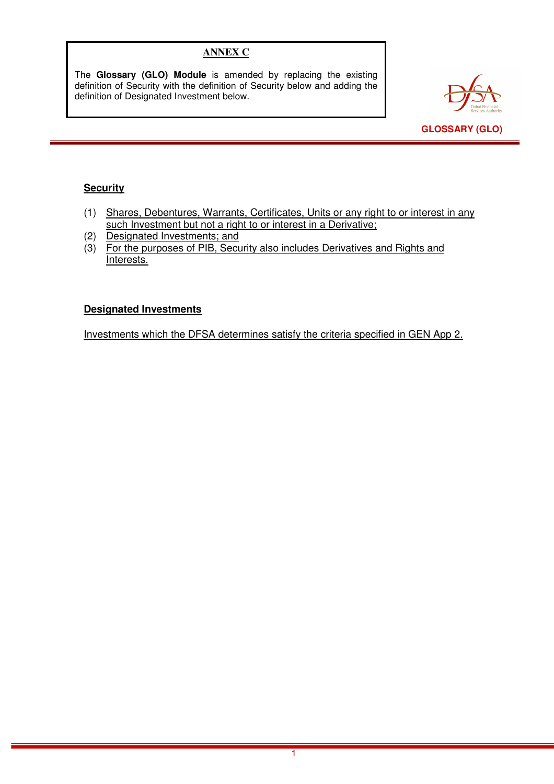# **ANNEX C**

The **Glossary (GLO) Module** is amended by replacing the existing definition of Security with the definition of Security below and adding the definition of Designated Investment below.



## **Security**

- (1) Shares, Debentures, Warrants, Certificates, Units or any right to or interest in any such Investment but not a right to or interest in a Derivative;
- (2) Designated Investments; and
- (3) For the purposes of PIB, Security also includes Derivatives and Rights and Interests.

#### **Designated Investments**

Investments which the DFSA determines satisfy the criteria specified in GEN App 2.